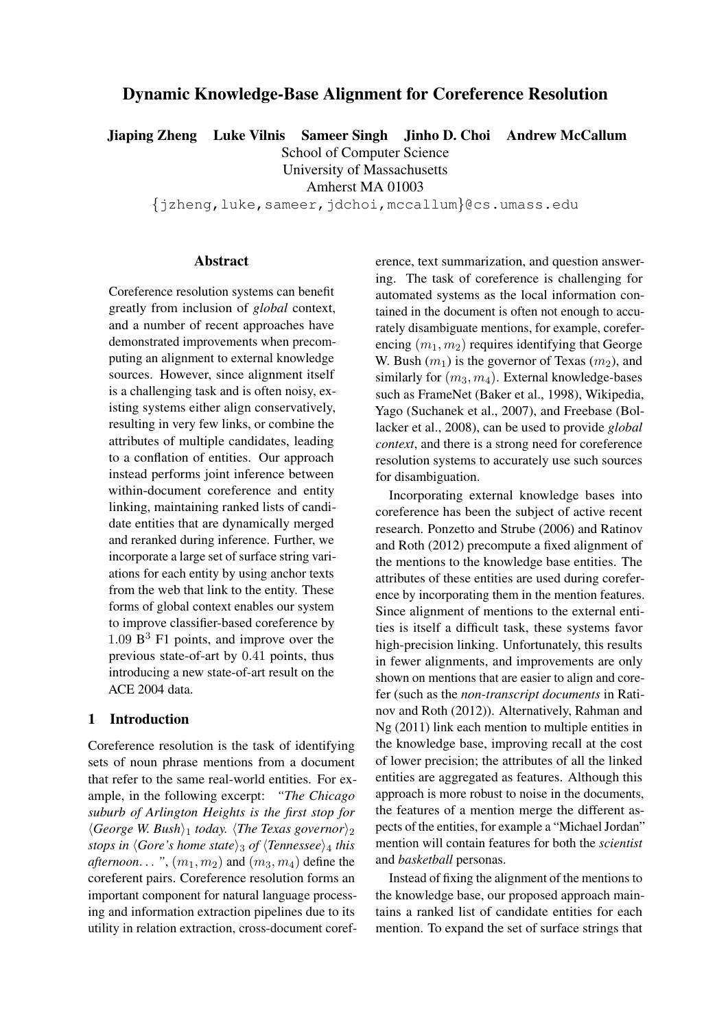# Dynamic Knowledge-Base Alignment for Coreference Resolution

Jiaping Zheng Luke Vilnis Sameer Singh Jinho D. Choi Andrew McCallum

School of Computer Science

University of Massachusetts

Amherst MA 01003

{jzheng,luke,sameer,jdchoi,mccallum}@cs.umass.edu

### Abstract

Coreference resolution systems can benefit greatly from inclusion of *global* context, and a number of recent approaches have demonstrated improvements when precomputing an alignment to external knowledge sources. However, since alignment itself is a challenging task and is often noisy, existing systems either align conservatively, resulting in very few links, or combine the attributes of multiple candidates, leading to a conflation of entities. Our approach instead performs joint inference between within-document coreference and entity linking, maintaining ranked lists of candidate entities that are dynamically merged and reranked during inference. Further, we incorporate a large set of surface string variations for each entity by using anchor texts from the web that link to the entity. These forms of global context enables our system to improve classifier-based coreference by  $1.09 \text{ B}^3$  F1 points, and improve over the previous state-of-art by 0.41 points, thus introducing a new state-of-art result on the ACE 2004 data.

### 1 Introduction

Coreference resolution is the task of identifying sets of noun phrase mentions from a document that refer to the same real-world entities. For example, in the following excerpt: *"The Chicago suburb of Arlington Heights is the first stop for*  $\langle George \ W. \ Bush \rangle_1$  *today.*  $\langle The \ Texas \ governor \rangle_2$ *stops in*  $\langle G \rangle$ *s home state* $\rangle$ <sup>3</sup> *of*  $\langle T$ *ennessee* $\rangle$ <sup>4</sup> *this afternoon...* ",  $(m_1, m_2)$  and  $(m_3, m_4)$  define the coreferent pairs. Coreference resolution forms an important component for natural language processing and information extraction pipelines due to its utility in relation extraction, cross-document coref-

erence, text summarization, and question answering. The task of coreference is challenging for automated systems as the local information contained in the document is often not enough to accurately disambiguate mentions, for example, coreferencing  $(m_1, m_2)$  requires identifying that George W. Bush  $(m_1)$  is the governor of Texas  $(m_2)$ , and similarly for  $(m_3, m_4)$ . External knowledge-bases such as FrameNet (Baker et al., 1998), Wikipedia, Yago (Suchanek et al., 2007), and Freebase (Bollacker et al., 2008), can be used to provide *global context*, and there is a strong need for coreference resolution systems to accurately use such sources for disambiguation.

Incorporating external knowledge bases into coreference has been the subject of active recent research. Ponzetto and Strube (2006) and Ratinov and Roth (2012) precompute a fixed alignment of the mentions to the knowledge base entities. The attributes of these entities are used during coreference by incorporating them in the mention features. Since alignment of mentions to the external entities is itself a difficult task, these systems favor high-precision linking. Unfortunately, this results in fewer alignments, and improvements are only shown on mentions that are easier to align and corefer (such as the *non-transcript documents* in Ratinov and Roth (2012)). Alternatively, Rahman and Ng (2011) link each mention to multiple entities in the knowledge base, improving recall at the cost of lower precision; the attributes of all the linked entities are aggregated as features. Although this approach is more robust to noise in the documents, the features of a mention merge the different aspects of the entities, for example a "Michael Jordan" mention will contain features for both the *scientist* and *basketball* personas.

Instead of fixing the alignment of the mentions to the knowledge base, our proposed approach maintains a ranked list of candidate entities for each mention. To expand the set of surface strings that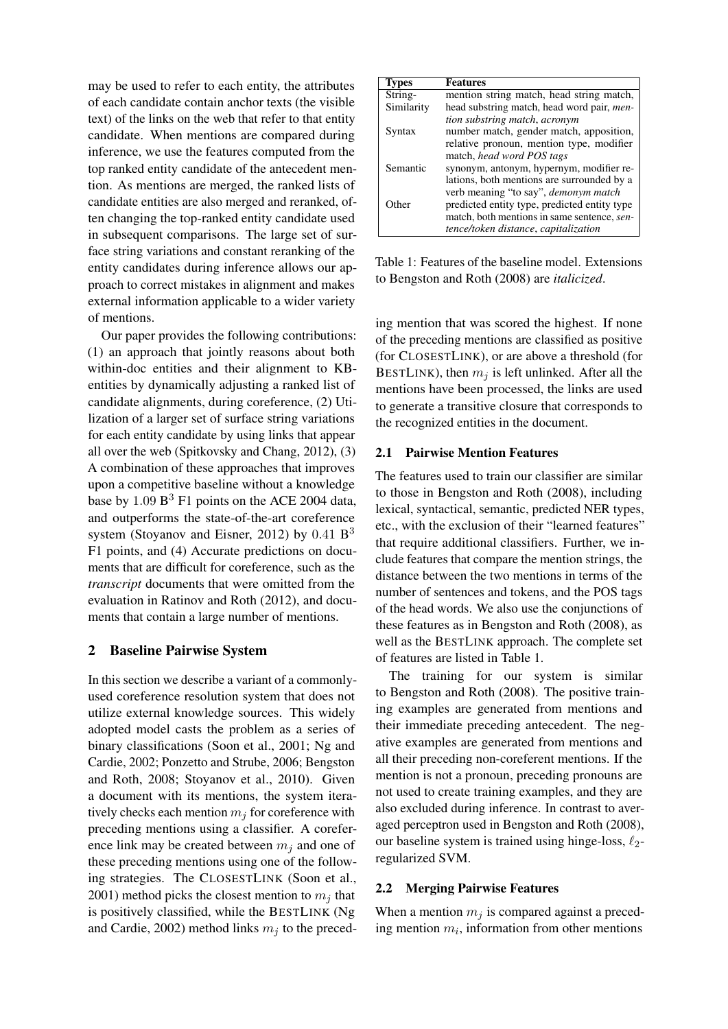may be used to refer to each entity, the attributes of each candidate contain anchor texts (the visible text) of the links on the web that refer to that entity candidate. When mentions are compared during inference, we use the features computed from the top ranked entity candidate of the antecedent mention. As mentions are merged, the ranked lists of candidate entities are also merged and reranked, often changing the top-ranked entity candidate used in subsequent comparisons. The large set of surface string variations and constant reranking of the entity candidates during inference allows our approach to correct mistakes in alignment and makes external information applicable to a wider variety of mentions.

Our paper provides the following contributions: (1) an approach that jointly reasons about both within-doc entities and their alignment to KBentities by dynamically adjusting a ranked list of candidate alignments, during coreference, (2) Utilization of a larger set of surface string variations for each entity candidate by using links that appear all over the web (Spitkovsky and Chang, 2012), (3) A combination of these approaches that improves upon a competitive baseline without a knowledge base by  $1.09 B<sup>3</sup> F1$  points on the ACE 2004 data, and outperforms the state-of-the-art coreference system (Stoyanov and Eisner, 2012) by 0.41 B<sup>3</sup> F1 points, and (4) Accurate predictions on documents that are difficult for coreference, such as the *transcript* documents that were omitted from the evaluation in Ratinov and Roth (2012), and documents that contain a large number of mentions.

### 2 Baseline Pairwise System

In this section we describe a variant of a commonlyused coreference resolution system that does not utilize external knowledge sources. This widely adopted model casts the problem as a series of binary classifications (Soon et al., 2001; Ng and Cardie, 2002; Ponzetto and Strube, 2006; Bengston and Roth, 2008; Stoyanov et al., 2010). Given a document with its mentions, the system iteratively checks each mention  $m_i$  for coreference with preceding mentions using a classifier. A coreference link may be created between  $m_i$  and one of these preceding mentions using one of the following strategies. The CLOSESTLINK (Soon et al., 2001) method picks the closest mention to  $m_i$  that is positively classified, while the BESTLINK (Ng and Cardie, 2002) method links  $m_i$  to the preced-

| <b>Types</b> | <b>Features</b>                                    |  |  |  |  |  |
|--------------|----------------------------------------------------|--|--|--|--|--|
| String-      | mention string match, head string match,           |  |  |  |  |  |
| Similarity   | head substring match, head word pair, <i>men</i> - |  |  |  |  |  |
|              | tion substring match, acronym                      |  |  |  |  |  |
| Syntax       | number match, gender match, apposition,            |  |  |  |  |  |
|              | relative pronoun, mention type, modifier           |  |  |  |  |  |
|              | match, head word POS tags                          |  |  |  |  |  |
| Semantic     | synonym, antonym, hypernym, modifier re-           |  |  |  |  |  |
|              | lations, both mentions are surrounded by a         |  |  |  |  |  |
|              | verb meaning "to say", <i>demonym match</i>        |  |  |  |  |  |
| <b>Other</b> | predicted entity type, predicted entity type       |  |  |  |  |  |
|              | match, both mentions in same sentence, sen-        |  |  |  |  |  |
|              | tence/token distance, capitalization               |  |  |  |  |  |

Table 1: Features of the baseline model. Extensions to Bengston and Roth (2008) are *italicized*.

ing mention that was scored the highest. If none of the preceding mentions are classified as positive (for CLOSESTLINK), or are above a threshold (for BESTLINK), then  $m_i$  is left unlinked. After all the mentions have been processed, the links are used to generate a transitive closure that corresponds to the recognized entities in the document.

### 2.1 Pairwise Mention Features

The features used to train our classifier are similar to those in Bengston and Roth (2008), including lexical, syntactical, semantic, predicted NER types, etc., with the exclusion of their "learned features" that require additional classifiers. Further, we include features that compare the mention strings, the distance between the two mentions in terms of the number of sentences and tokens, and the POS tags of the head words. We also use the conjunctions of these features as in Bengston and Roth (2008), as well as the BESTLINK approach. The complete set of features are listed in Table 1.

The training for our system is similar to Bengston and Roth (2008). The positive training examples are generated from mentions and their immediate preceding antecedent. The negative examples are generated from mentions and all their preceding non-coreferent mentions. If the mention is not a pronoun, preceding pronouns are not used to create training examples, and they are also excluded during inference. In contrast to averaged perceptron used in Bengston and Roth (2008), our baseline system is trained using hinge-loss,  $\ell_2$ regularized SVM.

### 2.2 Merging Pairwise Features

When a mention  $m_j$  is compared against a preceding mention  $m_i$ , information from other mentions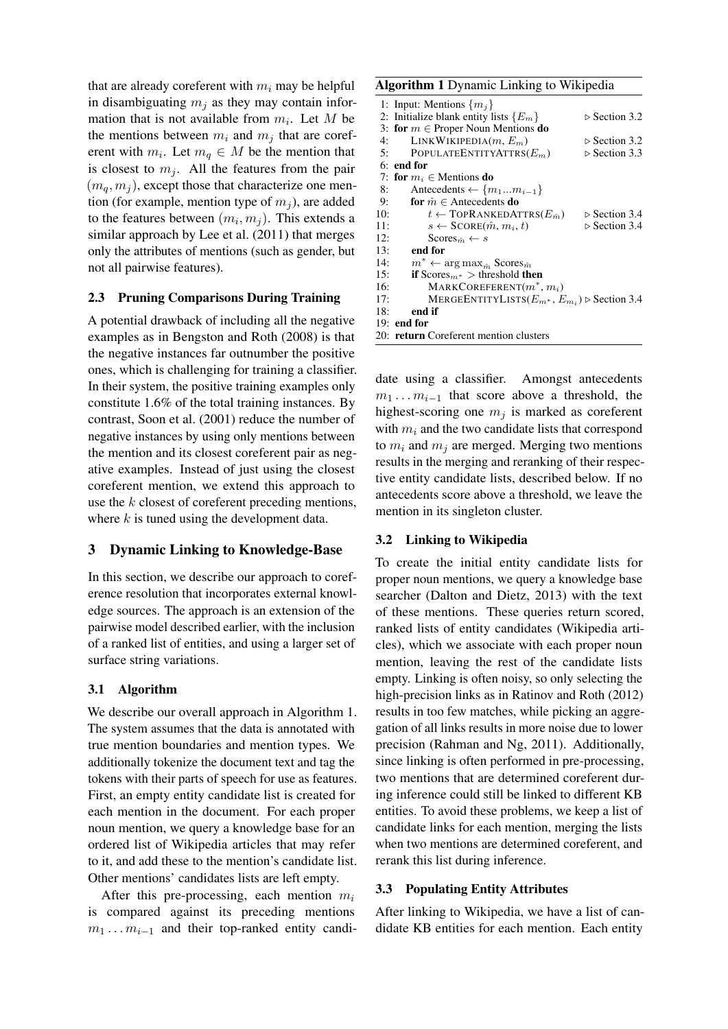that are already coreferent with  $m_i$  may be helpful in disambiguating  $m_i$  as they may contain information that is not available from  $m_i$ . Let M be the mentions between  $m_i$  and  $m_j$  that are coreferent with  $m_i$ . Let  $m_q \in M$  be the mention that is closest to  $m_j$ . All the features from the pair  $(m_q, m_j)$ , except those that characterize one mention (for example, mention type of  $m<sub>i</sub>$ ), are added to the features between  $(m_i, m_j)$ . This extends a similar approach by Lee et al. (2011) that merges only the attributes of mentions (such as gender, but not all pairwise features).

## 2.3 Pruning Comparisons During Training

A potential drawback of including all the negative examples as in Bengston and Roth (2008) is that the negative instances far outnumber the positive ones, which is challenging for training a classifier. In their system, the positive training examples only constitute 1.6% of the total training instances. By contrast, Soon et al. (2001) reduce the number of negative instances by using only mentions between the mention and its closest coreferent pair as negative examples. Instead of just using the closest coreferent mention, we extend this approach to use the k closest of coreferent preceding mentions, where  $k$  is tuned using the development data.

### 3 Dynamic Linking to Knowledge-Base

In this section, we describe our approach to coreference resolution that incorporates external knowledge sources. The approach is an extension of the pairwise model described earlier, with the inclusion of a ranked list of entities, and using a larger set of surface string variations.

## 3.1 Algorithm

We describe our overall approach in Algorithm 1. The system assumes that the data is annotated with true mention boundaries and mention types. We additionally tokenize the document text and tag the tokens with their parts of speech for use as features. First, an empty entity candidate list is created for each mention in the document. For each proper noun mention, we query a knowledge base for an ordered list of Wikipedia articles that may refer to it, and add these to the mention's candidate list. Other mentions' candidates lists are left empty.

After this pre-processing, each mention  $m_i$ is compared against its preceding mentions  $m_1 \ldots m_{i-1}$  and their top-ranked entity candi-

### Algorithm 1 Dynamic Linking to Wikipedia

|     | 1: Input: Mentions $\{m_j\}$                                       |                              |
|-----|--------------------------------------------------------------------|------------------------------|
|     | 2: Initialize blank entity lists $\{E_m\}$                         | $\triangleright$ Section 3.2 |
|     | 3: for $m \in$ Proper Noun Mentions do                             |                              |
| 4:  | LINKWIKIPEDIA $(m, E_m)$                                           | $\triangleright$ Section 3.2 |
|     | POPULATEENTITYATTRS $(E_m)$<br>5:                                  | $\triangleright$ Section 3.3 |
|     | $6:$ end for                                                       |                              |
|     | 7: for $m_i \in$ Mentions do                                       |                              |
| 8:  | Antecedents $\leftarrow \{m_1m_{i-1}\}\$                           |                              |
| 9:  | for $\hat{m} \in$ Antecedents do                                   |                              |
| 10: | $t \leftarrow \text{TOPRANKEDATTRS}(E_{\hat{m}})$                  | $\triangleright$ Section 3.4 |
| 11: | $s \leftarrow$ SCORE $(\hat{m}, m_i, t)$                           | $\triangleright$ Section 3.4 |
| 12: | Scores <sub>m</sub> $\leftarrow$ s                                 |                              |
| 13: | end for                                                            |                              |
| 14: | $m^* \leftarrow \arg \max_{\hat{m}} \text{Scores}_{\hat{m}}$       |                              |
| 15: | <b>if</b> Scores <sub>m</sub> $\ast$ > threshold <b>then</b>       |                              |
| 16: | MARKCOREFERENT $(m^*, m_i)$                                        |                              |
| 17: | MERGEENTITYLISTS $(E_{m^*}, E_{m_i})$ $\triangleright$ Section 3.4 |                              |
| 18: | end if                                                             |                              |
|     | $19:$ end for                                                      |                              |
|     | 20: return Coreferent mention clusters                             |                              |

date using a classifier. Amongst antecedents  $m_1 \ldots m_{i-1}$  that score above a threshold, the highest-scoring one  $m_i$  is marked as coreferent with  $m_i$  and the two candidate lists that correspond to  $m_i$  and  $m_j$  are merged. Merging two mentions results in the merging and reranking of their respective entity candidate lists, described below. If no antecedents score above a threshold, we leave the mention in its singleton cluster.

### 3.2 Linking to Wikipedia

To create the initial entity candidate lists for proper noun mentions, we query a knowledge base searcher (Dalton and Dietz, 2013) with the text of these mentions. These queries return scored, ranked lists of entity candidates (Wikipedia articles), which we associate with each proper noun mention, leaving the rest of the candidate lists empty. Linking is often noisy, so only selecting the high-precision links as in Ratinov and Roth (2012) results in too few matches, while picking an aggregation of all links results in more noise due to lower precision (Rahman and Ng, 2011). Additionally, since linking is often performed in pre-processing, two mentions that are determined coreferent during inference could still be linked to different KB entities. To avoid these problems, we keep a list of candidate links for each mention, merging the lists when two mentions are determined coreferent, and rerank this list during inference.

### 3.3 Populating Entity Attributes

After linking to Wikipedia, we have a list of candidate KB entities for each mention. Each entity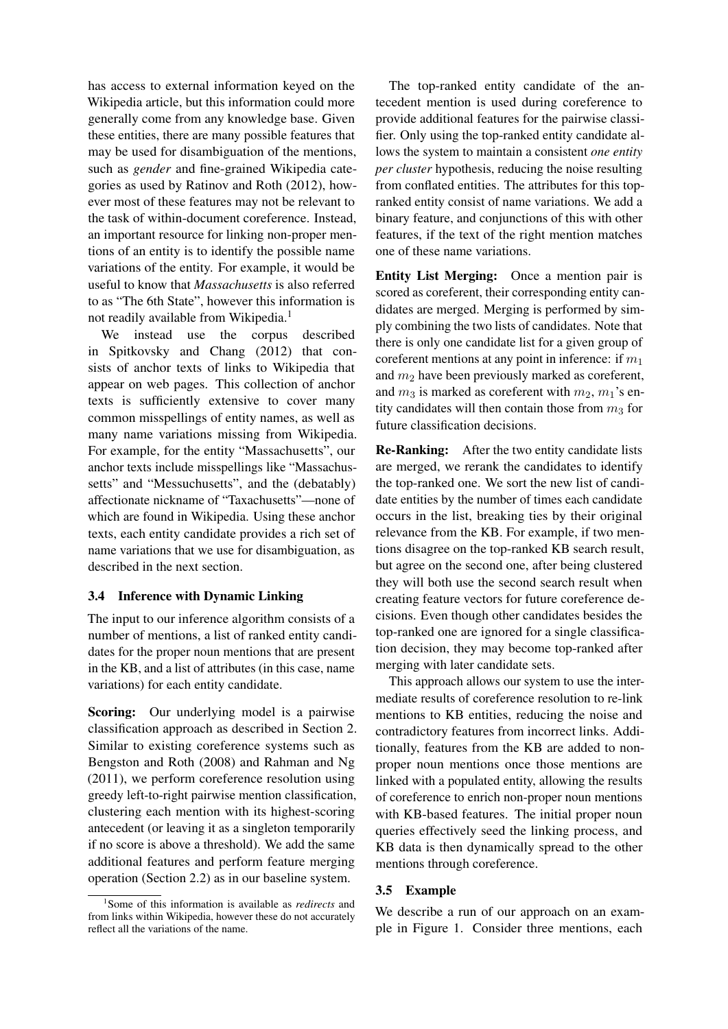has access to external information keyed on the Wikipedia article, but this information could more generally come from any knowledge base. Given these entities, there are many possible features that may be used for disambiguation of the mentions, such as *gender* and fine-grained Wikipedia categories as used by Ratinov and Roth (2012), however most of these features may not be relevant to the task of within-document coreference. Instead, an important resource for linking non-proper mentions of an entity is to identify the possible name variations of the entity. For example, it would be useful to know that *Massachusetts* is also referred to as "The 6th State", however this information is not readily available from Wikipedia.<sup>1</sup>

We instead use the corpus described in Spitkovsky and Chang (2012) that consists of anchor texts of links to Wikipedia that appear on web pages. This collection of anchor texts is sufficiently extensive to cover many common misspellings of entity names, as well as many name variations missing from Wikipedia. For example, for the entity "Massachusetts", our anchor texts include misspellings like "Massachussetts" and "Messuchusetts", and the (debatably) affectionate nickname of "Taxachusetts"—none of which are found in Wikipedia. Using these anchor texts, each entity candidate provides a rich set of name variations that we use for disambiguation, as described in the next section.

### 3.4 Inference with Dynamic Linking

The input to our inference algorithm consists of a number of mentions, a list of ranked entity candidates for the proper noun mentions that are present in the KB, and a list of attributes (in this case, name variations) for each entity candidate.

Scoring: Our underlying model is a pairwise classification approach as described in Section 2. Similar to existing coreference systems such as Bengston and Roth (2008) and Rahman and Ng (2011), we perform coreference resolution using greedy left-to-right pairwise mention classification, clustering each mention with its highest-scoring antecedent (or leaving it as a singleton temporarily if no score is above a threshold). We add the same additional features and perform feature merging operation (Section 2.2) as in our baseline system.

The top-ranked entity candidate of the antecedent mention is used during coreference to provide additional features for the pairwise classifier. Only using the top-ranked entity candidate allows the system to maintain a consistent *one entity per cluster* hypothesis, reducing the noise resulting from conflated entities. The attributes for this topranked entity consist of name variations. We add a binary feature, and conjunctions of this with other features, if the text of the right mention matches one of these name variations.

Entity List Merging: Once a mention pair is scored as coreferent, their corresponding entity candidates are merged. Merging is performed by simply combining the two lists of candidates. Note that there is only one candidate list for a given group of coreferent mentions at any point in inference: if  $m_1$ and  $m_2$  have been previously marked as coreferent, and  $m_3$  is marked as coreferent with  $m_2$ ,  $m_1$ 's entity candidates will then contain those from  $m_3$  for future classification decisions.

Re-Ranking: After the two entity candidate lists are merged, we rerank the candidates to identify the top-ranked one. We sort the new list of candidate entities by the number of times each candidate occurs in the list, breaking ties by their original relevance from the KB. For example, if two mentions disagree on the top-ranked KB search result, but agree on the second one, after being clustered they will both use the second search result when creating feature vectors for future coreference decisions. Even though other candidates besides the top-ranked one are ignored for a single classification decision, they may become top-ranked after merging with later candidate sets.

This approach allows our system to use the intermediate results of coreference resolution to re-link mentions to KB entities, reducing the noise and contradictory features from incorrect links. Additionally, features from the KB are added to nonproper noun mentions once those mentions are linked with a populated entity, allowing the results of coreference to enrich non-proper noun mentions with KB-based features. The initial proper noun queries effectively seed the linking process, and KB data is then dynamically spread to the other mentions through coreference.

### 3.5 Example

We describe a run of our approach on an example in Figure 1. Consider three mentions, each

<sup>1</sup> Some of this information is available as *redirects* and from links within Wikipedia, however these do not accurately reflect all the variations of the name.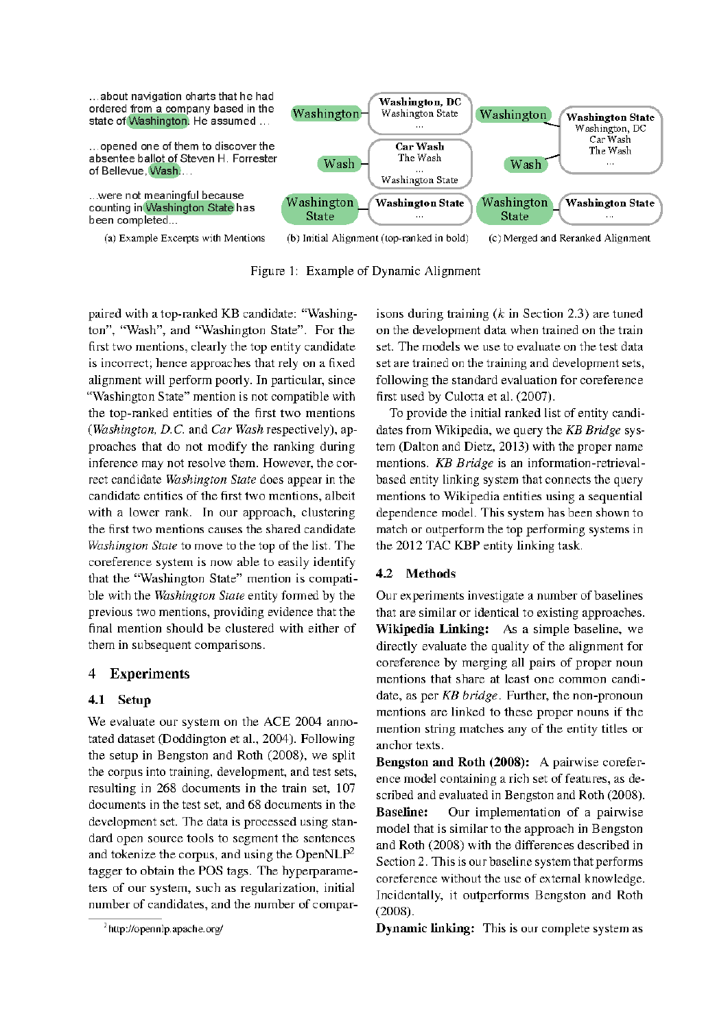

Figure 1: Example of Dynamic Alignment

paired with a top-ranked KB candidate: "Washington", "Wash", and "Washington State". For the first two mentions, clearly the top entity candidate is incorrect; hence approaches that rely on a fixed alignment will perform poorly. In particular, since "Washington State" mention is not compatible with the top-ranked entities of the first two mentions (Washington, D.C. and Car Wash respectively), approaches that do not modify the ranking during inference may not resolve them. However, the correct candidate Washington State does appear in the candidate entities of the first two mentions, albeit with a lower rank. In our approach, clustering the first two mentions causes the shared candidate Washington State to move to the top of the list. The coreference system is now able to easily identify that the "Washington State" mention is compatible with the Washington State entity formed by the previous two mentions, providing evidence that the final mention should be clustered with either of them in subsequent comparisons.

#### $\overline{4}$ **Experiments**

## 4.1 Setup

We evaluate our system on the ACE 2004 annotated dataset (Doddington et al., 2004). Following the setup in Bengston and Roth (2008), we split the corpus into training, development, and test sets, resulting in 268 documents in the train set, 107 documents in the test set, and 68 documents in the development set. The data is processed using standard open source tools to segment the sentences and tokenize the corpus, and using the Open $NLP^2$ tagger to obtain the POS tags. The hyperparameters of our system, such as regularization, initial number of candidates, and the number of compar-

isons during training  $(k$  in Section 2.3) are tuned on the development data when trained on the train set. The models we use to evaluate on the test data set are trained on the training and development sets, following the standard evaluation for coreference first used by Culotta et al. (2007).

To provide the initial ranked list of entity candidates from Wikipedia, we query the KB Bridge system (Dalton and Dietz, 2013) with the proper name mentions. KB Bridge is an information-retrievalbased entity linking system that connects the query mentions to Wikipedia entities using a sequential dependence model. This system has been shown to match or outperform the top performing systems in the 2012 TAC KBP entity linking task.

## 4.2 Methods

Our experiments investigate a number of baselines that are similar or identical to existing approaches. Wikipedia Linking: As a simple baseline, we directly evaluate the quality of the alignment for coreference by merging all pairs of proper noun mentions that share at least one common candidate, as per KB bridge. Further, the non-pronoun mentions are linked to these proper nouns if the mention string matches any of the entity titles or anchor texts.

Bengston and Roth (2008): A pairwise coreference model containing a rich set of features, as described and evaluated in Bengston and Roth (2008). Our implementation of a pairwise **Baseline:** model that is similar to the approach in Bengston and Roth (2008) with the differences described in Section 2. This is our baseline system that performs coreference without the use of external knowledge. Incidentally, it outperforms Bengston and Roth  $(2008).$ 

**Dynamic linking:** This is our complete system as

<sup>&</sup>lt;sup>2</sup>http://opennlp.apache.org/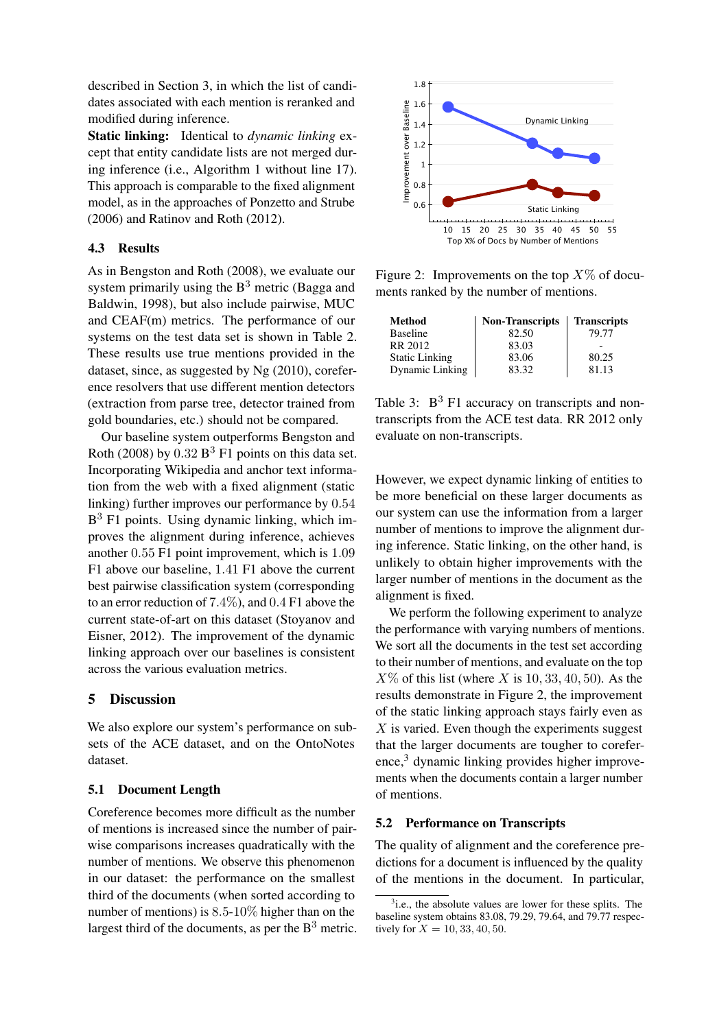described in Section 3, in which the list of candidates associated with each mention is reranked and modified during inference.

Static linking: Identical to *dynamic linking* except that entity candidate lists are not merged during inference (i.e., Algorithm 1 without line 17). This approach is comparable to the fixed alignment model, as in the approaches of Ponzetto and Strube (2006) and Ratinov and Roth (2012).

### 4.3 Results

As in Bengston and Roth (2008), we evaluate our system primarily using the  $B<sup>3</sup>$  metric (Bagga and Baldwin, 1998), but also include pairwise, MUC and CEAF(m) metrics. The performance of our systems on the test data set is shown in Table 2. These results use true mentions provided in the dataset, since, as suggested by Ng (2010), coreference resolvers that use different mention detectors (extraction from parse tree, detector trained from gold boundaries, etc.) should not be compared.

Our baseline system outperforms Bengston and Roth (2008) by  $0.32 B^3 F1$  points on this data set. Incorporating Wikipedia and anchor text information from the web with a fixed alignment (static linking) further improves our performance by 0.54 B <sup>3</sup> F1 points. Using dynamic linking, which improves the alignment during inference, achieves another 0.55 F1 point improvement, which is 1.09 F1 above our baseline, 1.41 F1 above the current best pairwise classification system (corresponding to an error reduction of 7.4%), and 0.4 F1 above the current state-of-art on this dataset (Stoyanov and Eisner, 2012). The improvement of the dynamic linking approach over our baselines is consistent across the various evaluation metrics.

### 5 Discussion

We also explore our system's performance on subsets of the ACE dataset, and on the OntoNotes dataset.

### 5.1 Document Length

Coreference becomes more difficult as the number of mentions is increased since the number of pairwise comparisons increases quadratically with the number of mentions. We observe this phenomenon in our dataset: the performance on the smallest third of the documents (when sorted according to number of mentions) is 8.5-10% higher than on the largest third of the documents, as per the  $B<sup>3</sup>$  metric.



Figure 2: Improvements on the top  $X\%$  of documents ranked by the number of mentions.

| <b>Method</b>         | <b>Non-Transcripts</b> | <b>Transcripts</b> |
|-----------------------|------------------------|--------------------|
| <b>Baseline</b>       | 82.50                  | 79.77              |
| RR 2012               | 83.03                  |                    |
| <b>Static Linking</b> | 83.06                  | 80.25              |
| Dynamic Linking       | 83.32                  | 81.13              |

Table 3:  $B^3$  F1 accuracy on transcripts and nontranscripts from the ACE test data. RR 2012 only evaluate on non-transcripts.

However, we expect dynamic linking of entities to be more beneficial on these larger documents as our system can use the information from a larger number of mentions to improve the alignment during inference. Static linking, on the other hand, is unlikely to obtain higher improvements with the larger number of mentions in the document as the alignment is fixed.

We perform the following experiment to analyze the performance with varying numbers of mentions. We sort all the documents in the test set according to their number of mentions, and evaluate on the top  $X\%$  of this list (where X is 10, 33, 40, 50). As the results demonstrate in Figure 2, the improvement of the static linking approach stays fairly even as  $X$  is varied. Even though the experiments suggest that the larger documents are tougher to corefer $e^{3}$  dynamic linking provides higher improvements when the documents contain a larger number of mentions.

### 5.2 Performance on Transcripts

The quality of alignment and the coreference predictions for a document is influenced by the quality of the mentions in the document. In particular,

<sup>&</sup>lt;sup>3</sup>i.e., the absolute values are lower for these splits. The baseline system obtains 83.08, 79.29, 79.64, and 79.77 respectively for  $X = 10, 33, 40, 50$ .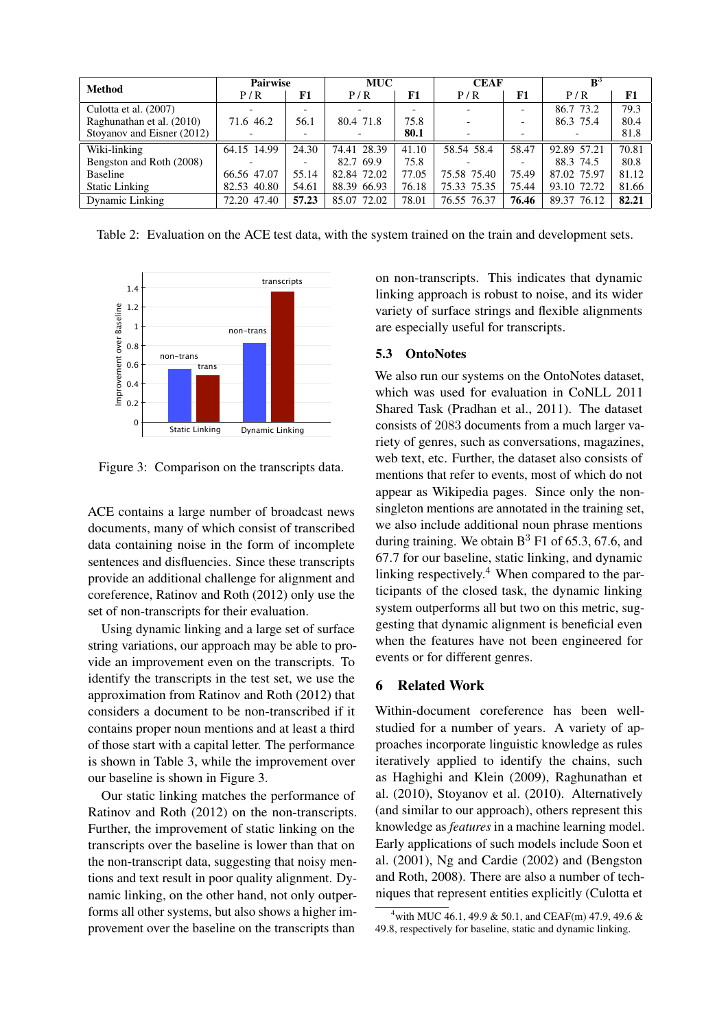| <b>Method</b>              | <b>Pairwise</b> |                          | <b>MUC</b>  |       | <b>CEAF</b> |       | $\mathbf{B}^3$ |       |
|----------------------------|-----------------|--------------------------|-------------|-------|-------------|-------|----------------|-------|
|                            | P/R             | F1                       | P/R         | F1    | P/R         | F1    | P/R            | F1    |
| Culotta et al. (2007)      |                 | $\overline{\phantom{0}}$ |             |       |             |       | 86.7 73.2      | 79.3  |
| Raghunathan et al. (2010)  | 71.6 46.2       | 56.1                     | 80.4 71.8   | 75.8  |             |       | 86.3 75.4      | 80.4  |
| Stoyanov and Eisner (2012) |                 |                          |             | 80.1  |             |       |                | 81.8  |
| Wiki-linking               | 64.15 14.99     | 24.30                    | 74.41 28.39 | 41.10 | 58.54 58.4  | 58.47 | 92.89 57.21    | 70.81 |
| Bengston and Roth (2008)   |                 |                          | 82.7 69.9   | 75.8  |             |       | 88.3 74.5      | 80.8  |
| Baseline                   | 66.56 47.07     | 55.14                    | 82.84 72.02 | 77.05 | 75.58 75.40 | 75.49 | 87.02 75.97    | 81.12 |
| <b>Static Linking</b>      | 82.53 40.80     | 54.61                    | 88.39 66.93 | 76.18 | 75.33 75.35 | 75.44 | 93.10 72.72    | 81.66 |
| Dynamic Linking            | 72.20 47.40     | 57.23                    | 85.07 72.02 | 78.01 | 76.55 76.37 | 76.46 | 89.37 76.12    | 82.21 |

Table 2: Evaluation on the ACE test data, with the system trained on the train and development sets.



Figure 3: Comparison on the transcripts data.

ACE contains a large number of broadcast news documents, many of which consist of transcribed data containing noise in the form of incomplete sentences and disfluencies. Since these transcripts provide an additional challenge for alignment and coreference, Ratinov and Roth (2012) only use the set of non-transcripts for their evaluation.

Using dynamic linking and a large set of surface string variations, our approach may be able to provide an improvement even on the transcripts. To identify the transcripts in the test set, we use the approximation from Ratinov and Roth (2012) that considers a document to be non-transcribed if it contains proper noun mentions and at least a third of those start with a capital letter. The performance is shown in Table 3, while the improvement over our baseline is shown in Figure 3.

Our static linking matches the performance of Ratinov and Roth (2012) on the non-transcripts. Further, the improvement of static linking on the transcripts over the baseline is lower than that on the non-transcript data, suggesting that noisy mentions and text result in poor quality alignment. Dynamic linking, on the other hand, not only outperforms all other systems, but also shows a higher improvement over the baseline on the transcripts than

on non-transcripts. This indicates that dynamic linking approach is robust to noise, and its wider variety of surface strings and flexible alignments are especially useful for transcripts.

## 5.3 OntoNotes

We also run our systems on the OntoNotes dataset, which was used for evaluation in CoNLL 2011 Shared Task (Pradhan et al., 2011). The dataset consists of 2083 documents from a much larger variety of genres, such as conversations, magazines, web text, etc. Further, the dataset also consists of mentions that refer to events, most of which do not appear as Wikipedia pages. Since only the nonsingleton mentions are annotated in the training set, we also include additional noun phrase mentions during training. We obtain  $B<sup>3</sup> F1$  of 65.3, 67.6, and 67.7 for our baseline, static linking, and dynamic linking respectively.<sup>4</sup> When compared to the participants of the closed task, the dynamic linking system outperforms all but two on this metric, suggesting that dynamic alignment is beneficial even when the features have not been engineered for events or for different genres.

### 6 Related Work

Within-document coreference has been wellstudied for a number of years. A variety of approaches incorporate linguistic knowledge as rules iteratively applied to identify the chains, such as Haghighi and Klein (2009), Raghunathan et al. (2010), Stoyanov et al. (2010). Alternatively (and similar to our approach), others represent this knowledge as *features* in a machine learning model. Early applications of such models include Soon et al. (2001), Ng and Cardie (2002) and (Bengston and Roth, 2008). There are also a number of techniques that represent entities explicitly (Culotta et

<sup>&</sup>lt;sup>4</sup> with MUC 46.1, 49.9 & 50.1, and CEAF(m) 47.9, 49.6 & 49.8, respectively for baseline, static and dynamic linking.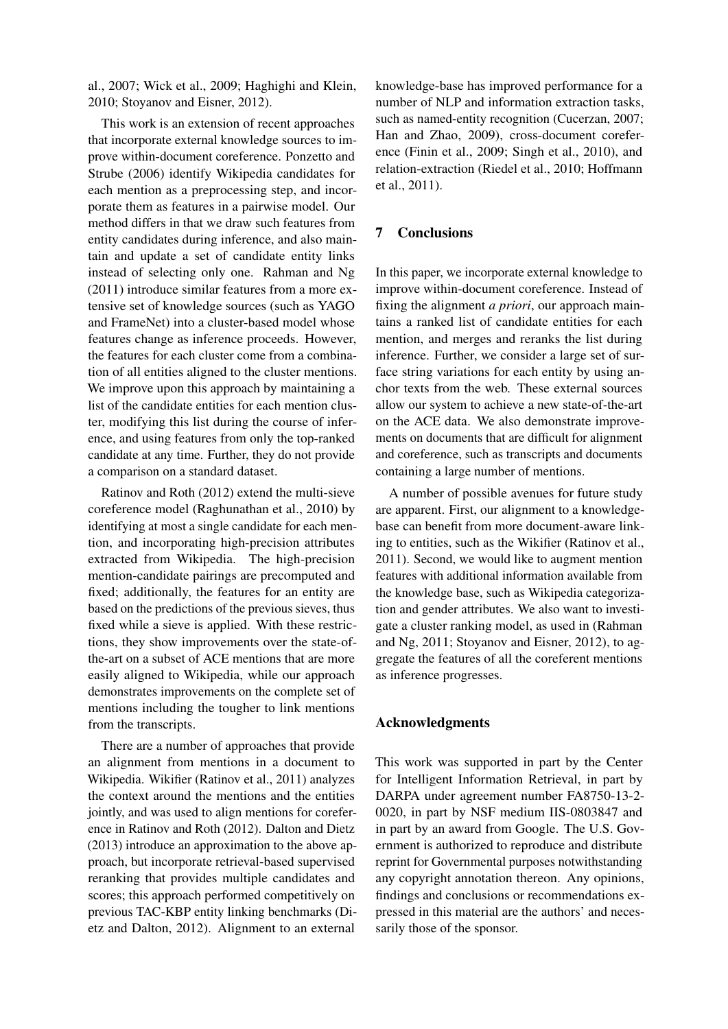al., 2007; Wick et al., 2009; Haghighi and Klein, 2010; Stoyanov and Eisner, 2012).

This work is an extension of recent approaches that incorporate external knowledge sources to improve within-document coreference. Ponzetto and Strube (2006) identify Wikipedia candidates for each mention as a preprocessing step, and incorporate them as features in a pairwise model. Our method differs in that we draw such features from entity candidates during inference, and also maintain and update a set of candidate entity links instead of selecting only one. Rahman and Ng (2011) introduce similar features from a more extensive set of knowledge sources (such as YAGO and FrameNet) into a cluster-based model whose features change as inference proceeds. However, the features for each cluster come from a combination of all entities aligned to the cluster mentions. We improve upon this approach by maintaining a list of the candidate entities for each mention cluster, modifying this list during the course of inference, and using features from only the top-ranked candidate at any time. Further, they do not provide a comparison on a standard dataset.

Ratinov and Roth (2012) extend the multi-sieve coreference model (Raghunathan et al., 2010) by identifying at most a single candidate for each mention, and incorporating high-precision attributes extracted from Wikipedia. The high-precision mention-candidate pairings are precomputed and fixed; additionally, the features for an entity are based on the predictions of the previous sieves, thus fixed while a sieve is applied. With these restrictions, they show improvements over the state-ofthe-art on a subset of ACE mentions that are more easily aligned to Wikipedia, while our approach demonstrates improvements on the complete set of mentions including the tougher to link mentions from the transcripts.

There are a number of approaches that provide an alignment from mentions in a document to Wikipedia. Wikifier (Ratinov et al., 2011) analyzes the context around the mentions and the entities jointly, and was used to align mentions for coreference in Ratinov and Roth (2012). Dalton and Dietz (2013) introduce an approximation to the above approach, but incorporate retrieval-based supervised reranking that provides multiple candidates and scores; this approach performed competitively on previous TAC-KBP entity linking benchmarks (Dietz and Dalton, 2012). Alignment to an external

knowledge-base has improved performance for a number of NLP and information extraction tasks, such as named-entity recognition (Cucerzan, 2007; Han and Zhao, 2009), cross-document coreference (Finin et al., 2009; Singh et al., 2010), and relation-extraction (Riedel et al., 2010; Hoffmann et al., 2011).

# 7 Conclusions

In this paper, we incorporate external knowledge to improve within-document coreference. Instead of fixing the alignment *a priori*, our approach maintains a ranked list of candidate entities for each mention, and merges and reranks the list during inference. Further, we consider a large set of surface string variations for each entity by using anchor texts from the web. These external sources allow our system to achieve a new state-of-the-art on the ACE data. We also demonstrate improvements on documents that are difficult for alignment and coreference, such as transcripts and documents containing a large number of mentions.

A number of possible avenues for future study are apparent. First, our alignment to a knowledgebase can benefit from more document-aware linking to entities, such as the Wikifier (Ratinov et al., 2011). Second, we would like to augment mention features with additional information available from the knowledge base, such as Wikipedia categorization and gender attributes. We also want to investigate a cluster ranking model, as used in (Rahman and Ng, 2011; Stoyanov and Eisner, 2012), to aggregate the features of all the coreferent mentions as inference progresses.

### Acknowledgments

This work was supported in part by the Center for Intelligent Information Retrieval, in part by DARPA under agreement number FA8750-13-2- 0020, in part by NSF medium IIS-0803847 and in part by an award from Google. The U.S. Government is authorized to reproduce and distribute reprint for Governmental purposes notwithstanding any copyright annotation thereon. Any opinions, findings and conclusions or recommendations expressed in this material are the authors' and necessarily those of the sponsor.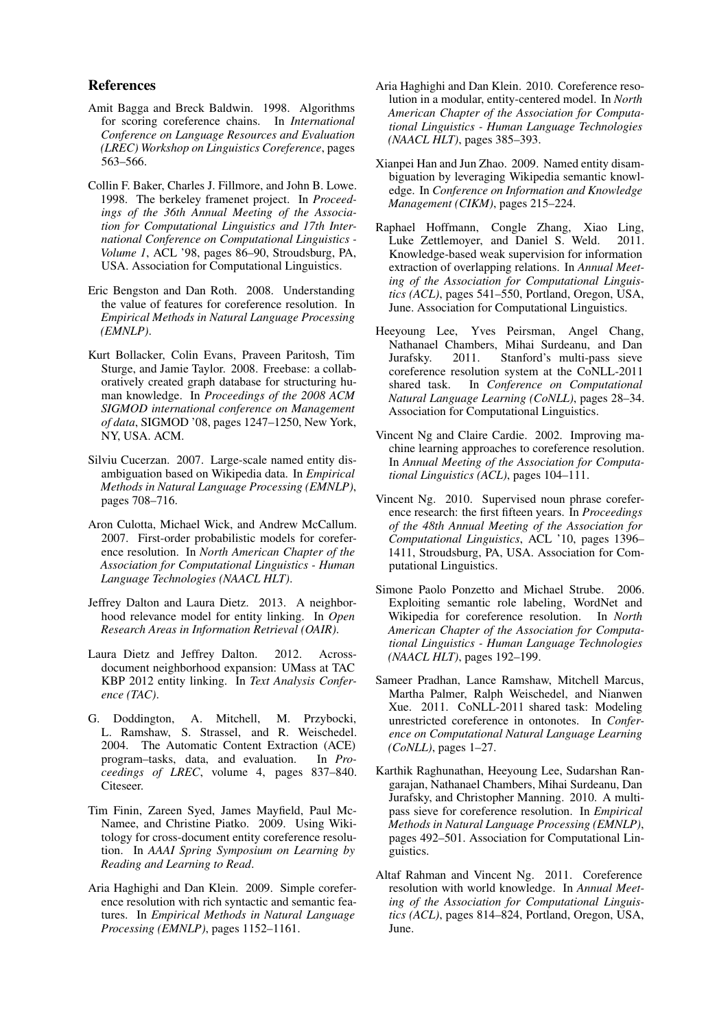### References

- Amit Bagga and Breck Baldwin. 1998. Algorithms for scoring coreference chains. In *International Conference on Language Resources and Evaluation (LREC) Workshop on Linguistics Coreference*, pages 563–566.
- Collin F. Baker, Charles J. Fillmore, and John B. Lowe. 1998. The berkeley framenet project. In *Proceedings of the 36th Annual Meeting of the Association for Computational Linguistics and 17th International Conference on Computational Linguistics - Volume 1*, ACL '98, pages 86–90, Stroudsburg, PA, USA. Association for Computational Linguistics.
- Eric Bengston and Dan Roth. 2008. Understanding the value of features for coreference resolution. In *Empirical Methods in Natural Language Processing (EMNLP)*.
- Kurt Bollacker, Colin Evans, Praveen Paritosh, Tim Sturge, and Jamie Taylor. 2008. Freebase: a collaboratively created graph database for structuring human knowledge. In *Proceedings of the 2008 ACM SIGMOD international conference on Management of data*, SIGMOD '08, pages 1247–1250, New York, NY, USA. ACM.
- Silviu Cucerzan. 2007. Large-scale named entity disambiguation based on Wikipedia data. In *Empirical Methods in Natural Language Processing (EMNLP)*, pages 708–716.
- Aron Culotta, Michael Wick, and Andrew McCallum. 2007. First-order probabilistic models for coreference resolution. In *North American Chapter of the Association for Computational Linguistics - Human Language Technologies (NAACL HLT)*.
- Jeffrey Dalton and Laura Dietz. 2013. A neighborhood relevance model for entity linking. In *Open Research Areas in Information Retrieval (OAIR)*.
- Laura Dietz and Jeffrey Dalton. 2012. Acrossdocument neighborhood expansion: UMass at TAC KBP 2012 entity linking. In *Text Analysis Conference (TAC)*.
- G. Doddington, A. Mitchell, M. Przybocki, L. Ramshaw, S. Strassel, and R. Weischedel. 2004. The Automatic Content Extraction (ACE) program–tasks, data, and evaluation. In *Proceedings of LREC*, volume 4, pages 837–840. Citeseer.
- Tim Finin, Zareen Syed, James Mayfield, Paul Mc-Namee, and Christine Piatko. 2009. Using Wikitology for cross-document entity coreference resolution. In *AAAI Spring Symposium on Learning by Reading and Learning to Read*.
- Aria Haghighi and Dan Klein. 2009. Simple coreference resolution with rich syntactic and semantic features. In *Empirical Methods in Natural Language Processing (EMNLP)*, pages 1152–1161.
- Aria Haghighi and Dan Klein. 2010. Coreference resolution in a modular, entity-centered model. In *North American Chapter of the Association for Computational Linguistics - Human Language Technologies (NAACL HLT)*, pages 385–393.
- Xianpei Han and Jun Zhao. 2009. Named entity disambiguation by leveraging Wikipedia semantic knowledge. In *Conference on Information and Knowledge Management (CIKM)*, pages 215–224.
- Raphael Hoffmann, Congle Zhang, Xiao Ling, Luke Zettlemoyer, and Daniel S. Weld. 2011. Knowledge-based weak supervision for information extraction of overlapping relations. In *Annual Meeting of the Association for Computational Linguistics (ACL)*, pages 541–550, Portland, Oregon, USA, June. Association for Computational Linguistics.
- Heeyoung Lee, Yves Peirsman, Angel Chang, Nathanael Chambers, Mihai Surdeanu, and Dan Jurafsky. 2011. Stanford's multi-pass sieve coreference resolution system at the CoNLL-2011<br>shared task. In Conference on Computational In *Conference on Computational Natural Language Learning (CoNLL)*, pages 28–34. Association for Computational Linguistics.
- Vincent Ng and Claire Cardie. 2002. Improving machine learning approaches to coreference resolution. In *Annual Meeting of the Association for Computational Linguistics (ACL)*, pages 104–111.
- Vincent Ng. 2010. Supervised noun phrase coreference research: the first fifteen years. In *Proceedings of the 48th Annual Meeting of the Association for Computational Linguistics*, ACL '10, pages 1396– 1411, Stroudsburg, PA, USA. Association for Computational Linguistics.
- Simone Paolo Ponzetto and Michael Strube. 2006. Exploiting semantic role labeling, WordNet and Wikipedia for coreference resolution. In *North American Chapter of the Association for Computational Linguistics - Human Language Technologies (NAACL HLT)*, pages 192–199.
- Sameer Pradhan, Lance Ramshaw, Mitchell Marcus, Martha Palmer, Ralph Weischedel, and Nianwen Xue. 2011. CoNLL-2011 shared task: Modeling unrestricted coreference in ontonotes. In *Conference on Computational Natural Language Learning (CoNLL)*, pages 1–27.
- Karthik Raghunathan, Heeyoung Lee, Sudarshan Rangarajan, Nathanael Chambers, Mihai Surdeanu, Dan Jurafsky, and Christopher Manning. 2010. A multipass sieve for coreference resolution. In *Empirical Methods in Natural Language Processing (EMNLP)*, pages 492–501. Association for Computational Linguistics.
- Altaf Rahman and Vincent Ng. 2011. Coreference resolution with world knowledge. In *Annual Meeting of the Association for Computational Linguistics (ACL)*, pages 814–824, Portland, Oregon, USA, June.